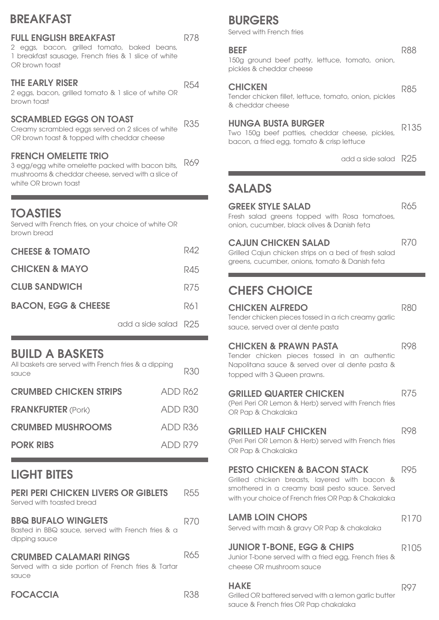## BREAKFAST

#### FULL ENGLISH BREAKFAST

2 eggs, bacon, grilled tomato, baked beans, 1 breakfast sausage, French fries & 1 slice of white OR brown toast

#### THE EARLY RISER

2 eggs, bacon, grilled tomato & 1 slice of white OR brown toast

#### SCRAMBLED EGGS ON TOAST

Creamy scrambled eggs served on 2 slices of white OR brown toast & topped with cheddar cheese

#### FRENCH OMELETTE TRIO

3 egg/egg white omelette packed with bacon bits, mushrooms & cheddar cheese, served with a slice of white OR brown toast R69

### **TOASTIES**

Served with French fries, on your choice of white OR brown bread

| <b>CHEESE &amp; TOMATO</b>     |                      | R42 |
|--------------------------------|----------------------|-----|
| <b>CHICKEN &amp; MAYO</b>      |                      | R45 |
| <b>CLUB SANDWICH</b>           |                      | R75 |
| <b>BACON, EGG &amp; CHEESE</b> |                      | R61 |
|                                | add a side salad R25 |     |

### BUILD A BASKETS

| All baskets are served with French fries & a dipping<br>sauce |         | <b>R30</b> |
|---------------------------------------------------------------|---------|------------|
| <b>CRUMBED CHICKEN STRIPS</b>                                 | ADD R62 |            |
| <b>FRANKFURTER (Pork)</b>                                     | ADD R30 |            |
| <b>CRUMBED MUSHROOMS</b>                                      | ADD R36 |            |
| <b>PORK RIBS</b>                                              | ADD R79 |            |

## LIGHT BITES

| <b>PERI PERI CHICKEN LIVERS OR GIBLETS</b><br>Served with toasted bread                          | 125.5 |
|--------------------------------------------------------------------------------------------------|-------|
| <b>BBQ BUFALO WINGLETS</b><br>Basted in BBQ sauce, served with French fries & a<br>dipping sauce | B(U)  |
| <b>CRUMBED CALAMARI RINGS</b><br>Served with a side portion of French fries & Tartar<br>sauce    | いんら   |
| <b>FOCACCIA</b>                                                                                  |       |

# BURGERS

Served with French fries

#### BEEF

R78

R54

R35

150g ground beef patty, lettuce, tomato, onion, pickles & cheddar cheese

#### **CHICKEN**

Tender chicken fillet, lettuce, tomato, onion, pickles & cheddar cheese R85

#### HUNGA BUSTA BURGER

R135

R65

R70

Two 150g beef patties, cheddar cheese, pickles, bacon, a fried egg, tomato & crisp lettuce

add a side salad R25

### SALADS

#### GREEK STYLE SALAD

Fresh salad greens topped with Rosa tomatoes, onion, cucumber, black olives & Danish feta

#### CAJUN CHICKEN SALAD

Grilled Cajun chicken strips on a bed of fresh salad greens, cucumber, onions, tomato & Danish feta

## CHEFS CHOICE

| <b>CHICKEN ALFREDO</b>                                                                          | <b>R80</b>  |
|-------------------------------------------------------------------------------------------------|-------------|
| Tender chicken pieces tossed in a rich creamy garlic                                            |             |
| sauce, served over al dente pasta                                                               |             |
| <b>CHICKEN &amp; PRAWN PASTA</b>                                                                | <b>R98</b>  |
| Tender chicken pieces tossed in an authentic<br>Napolitana sauce & served over al dente pasta & |             |
| topped with 3 Queen prawns.                                                                     |             |
| <b>GRILLED QUARTER CHICKEN</b>                                                                  | <b>R75</b>  |
| (Peri Peri OR Lemon & Herb) served with French fries                                            |             |
| OR Pap & Chakalaka                                                                              |             |
| <b>GRILLED HALF CHICKEN</b>                                                                     | <b>R98</b>  |
| (Peri Peri OR Lemon & Herb) served with French fries                                            |             |
| OR Pap & Chakalaka                                                                              |             |
| <b>PESTO CHICKEN &amp; BACON STACK</b>                                                          | R95         |
| Grilled chicken breasts, layered with bacon &                                                   |             |
| smothered in a creamy basil pesto sauce. Served                                                 |             |
| with your choice of French fries OR Pap & Chakalaka                                             |             |
| <b>LAMB LOIN CHOPS</b>                                                                          | <b>R170</b> |
| Served with mash & gravy OR Pap & chakalaka                                                     |             |
| <b>JUNIOR T-BONE, EGG &amp; CHIPS</b>                                                           | R105        |
| Junior T-bone served with a fried egg, French fries &                                           |             |
| cheese OR mushroom sauce                                                                        |             |
| <b>HAKE</b>                                                                                     | R97         |
|                                                                                                 |             |

Grilled OR battered served with a lemon garlic butter sauce & French fries OR Pap chakalaka

R88